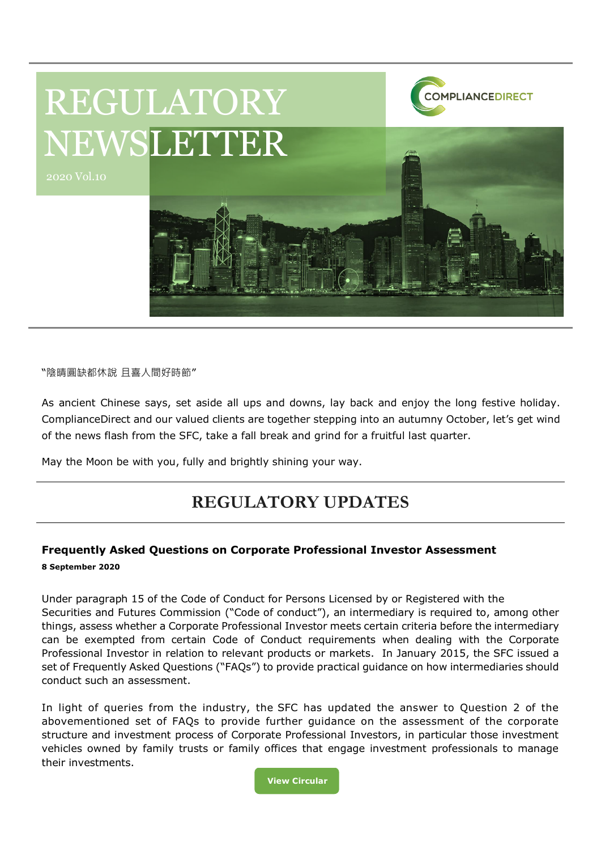

"陰晴圓缺都休說 且喜人間好時節"

As ancient Chinese says, set aside all ups and downs, lay back and enjoy the long festive holiday. ComplianceDirect and our valued clients are together stepping into an autumny October, let's get wind of the news flash from the SFC, take a fall break and grind for a fruitful last quarter.

May the Moon be with you, fully and brightly shining your way.

# **REGULATORY UPDATES**

## **Frequently Asked Questions on Corporate Professional Investor Assessment 8 September 2020**

Under paragraph 15 of the Code of Conduct for Persons Licensed by or Registered with the Securities and Futures Commission ("Code of conduct"), an intermediary is required to, among other things, assess whether a Corporate Professional Investor meets certain criteria before the intermediary can be exempted from certain Code of Conduct requirements when dealing with the Corporate Professional Investor in relation to relevant products or markets. In January 2015, the SFC issued a set of Frequently Asked Questions ("FAQs") to provide practical guidance on how intermediaries should conduct such an assessment.

In light of queries from the industry, the SFC has updated the answer to Question 2 of the abovementioned set of FAQs to provide further guidance on the assessment of the corporate structure and investment process of Corporate Professional Investors, in particular those investment vehicles owned by family trusts or family offices that engage investment professionals to manage their investments.

> **View Circular [C](https://www.sfc.hk/edistributionWeb/gateway/EN/circular/intermediaries/supervision/doc?refNo=20EC55)[https://ww](https://www.sfc.hk/edistributionWeb/gateway/EN/circular/intermediaries/supervision/doc?refNo=20EC26)**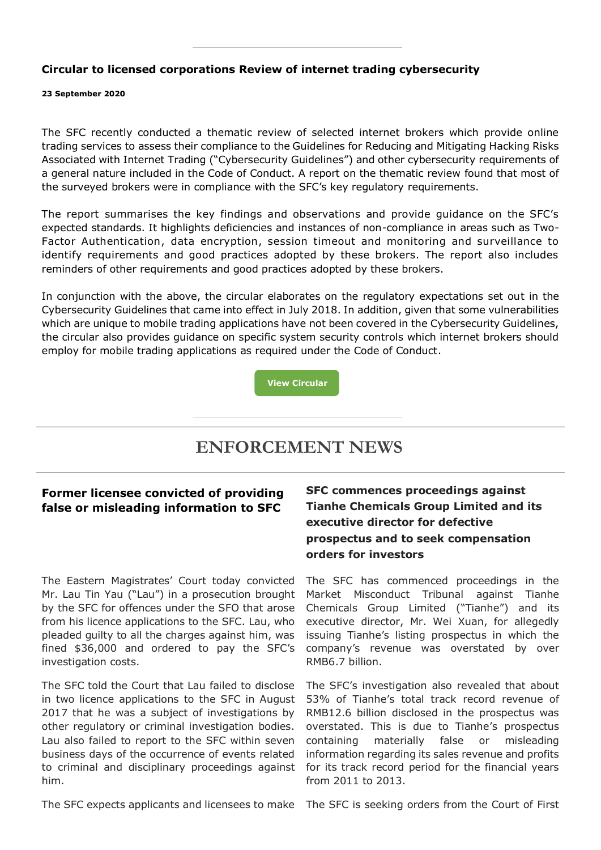### **Circular to licensed corporations Review of internet trading cybersecurity**

#### **23 September 2020**

The SFC recently conducted a thematic review of selected internet brokers which provide online trading services to assess their compliance to the Guidelines for Reducing and Mitigating Hacking Risks Associated with Internet Trading ("Cybersecurity Guidelines") and other cybersecurity requirements of a general nature included in the Code of Conduct. A report on the thematic review found that most of the surveyed brokers were in compliance with the SFC's key regulatory requirements.

The report summarises the key findings and observations and provide guidance on the SFC's expected standards. It highlights deficiencies and instances of non-compliance in areas such as Two-Factor Authentication, data encryption, session timeout and monitoring and surveillance to identify requirements and good practices adopted by these brokers. The report also includes reminders of other requirements and good practices adopted by these brokers.

In conjunction with the above, the circular elaborates on the regulatory expectations set out in the Cybersecurity Guidelines that came into effect in July 2018. In addition, given that some vulnerabilities which are unique to mobile trading applications have not been covered in the Cybersecurity Guidelines, the circular also provides guidance on specific system security controls which internet brokers should employ for mobile trading applications as required under the Code of Conduct.

**[View Circular](https://www.sfc.hk/edistributionWeb/gateway/EN/circular/intermediaries/supervision/doc?refNo=20EC58)**

## **ENFORCEMENT NEWS**

### **Former licensee convicted of providing false or misleading information to SFC**

The Eastern Magistrates' Court today convicted Mr. Lau Tin Yau ("Lau") in a prosecution brought by the SFC for offences under the SFO that arose from his licence applications to the SFC. Lau, who pleaded guilty to all the charges against him, was fined \$36,000 and ordered to pay the SFC's investigation costs.

The SFC told the Court that Lau failed to disclose in two licence applications to the SFC in August 2017 that he was a subject of investigations by other regulatory or criminal investigation bodies. Lau also failed to report to the SFC within seven business days of the occurrence of events related to criminal and disciplinary proceedings against him.

**SFC commences proceedings against Tianhe Chemicals Group Limited and its executive director for defective prospectus and to seek compensation orders for investors**

The SFC has commenced proceedings in the Market Misconduct Tribunal against Tianhe Chemicals Group Limited ("Tianhe") and its executive director, Mr. Wei Xuan, for allegedly issuing Tianhe's listing prospectus in which the company's revenue was overstated by over RMB6.7 billion.

The SFC's investigation also revealed that about 53% of Tianhe's total track record revenue of RMB12.6 billion disclosed in the prospectus was overstated. This is due to Tianhe's prospectus containing materially false or misleading information regarding its sales revenue and profits for its track record period for the financial years from 2011 to 2013.

The SFC expects applicants and licensees to make The SFC is seeking orders from the Court of First